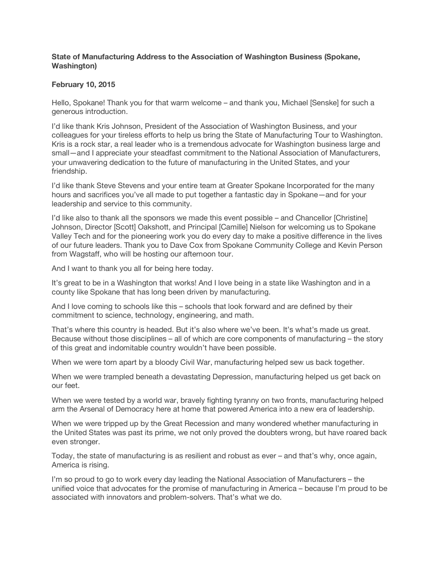## **State of Manufacturing Address to the Association of Washington Business (Spokane, Washington)**

## **February 10, 2015**

Hello, Spokane! Thank you for that warm welcome – and thank you, Michael [Senske] for such a generous introduction.

I'd like thank Kris Johnson, President of the Association of Washington Business, and your colleagues for your tireless efforts to help us bring the State of Manufacturing Tour to Washington. Kris is a rock star, a real leader who is a tremendous advocate for Washington business large and small—and I appreciate your steadfast commitment to the National Association of Manufacturers, your unwavering dedication to the future of manufacturing in the United States, and your friendship.

I'd like thank Steve Stevens and your entire team at Greater Spokane Incorporated for the many hours and sacrifices you've all made to put together a fantastic day in Spokane—and for your leadership and service to this community.

I'd like also to thank all the sponsors we made this event possible – and Chancellor [Christine] Johnson, Director [Scott] Oakshott, and Principal [Camille] Nielson for welcoming us to Spokane Valley Tech and for the pioneering work you do every day to make a positive difference in the lives of our future leaders. Thank you to Dave Cox from Spokane Community College and Kevin Person from Wagstaff, who will be hosting our afternoon tour.

And I want to thank you all for being here today.

It's great to be in a Washington that works! And I love being in a state like Washington and in a county like Spokane that has long been driven by manufacturing.

And I love coming to schools like this – schools that look forward and are defined by their commitment to science, technology, engineering, and math.

That's where this country is headed. But it's also where we've been. It's what's made us great. Because without those disciplines – all of which are core components of manufacturing – the story of this great and indomitable country wouldn't have been possible.

When we were torn apart by a bloody Civil War, manufacturing helped sew us back together.

When we were trampled beneath a devastating Depression, manufacturing helped us get back on our feet.

When we were tested by a world war, bravely fighting tyranny on two fronts, manufacturing helped arm the Arsenal of Democracy here at home that powered America into a new era of leadership.

When we were tripped up by the Great Recession and many wondered whether manufacturing in the United States was past its prime, we not only proved the doubters wrong, but have roared back even stronger.

Today, the state of manufacturing is as resilient and robust as ever – and that's why, once again, America is rising.

I'm so proud to go to work every day leading the National Association of Manufacturers – the unified voice that advocates for the promise of manufacturing in America – because I'm proud to be associated with innovators and problem-solvers. That's what we do.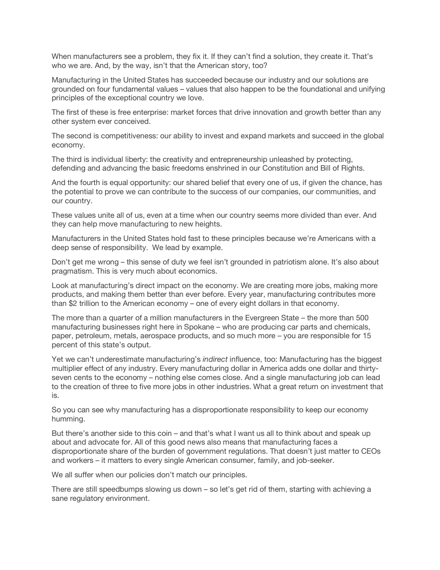When manufacturers see a problem, they fix it. If they can't find a solution, they create it. That's who we are. And, by the way, isn't that the American story, too?

Manufacturing in the United States has succeeded because our industry and our solutions are grounded on four fundamental values – values that also happen to be the foundational and unifying principles of the exceptional country we love.

The first of these is free enterprise: market forces that drive innovation and growth better than any other system ever conceived.

The second is competitiveness: our ability to invest and expand markets and succeed in the global economy.

The third is individual liberty: the creativity and entrepreneurship unleashed by protecting, defending and advancing the basic freedoms enshrined in our Constitution and Bill of Rights.

And the fourth is equal opportunity: our shared belief that every one of us, if given the chance, has the potential to prove we can contribute to the success of our companies, our communities, and our country.

These values unite all of us, even at a time when our country seems more divided than ever. And they can help move manufacturing to new heights.

Manufacturers in the United States hold fast to these principles because we're Americans with a deep sense of responsibility. We lead by example.

Don't get me wrong – this sense of duty we feel isn't grounded in patriotism alone. It's also about pragmatism. This is very much about economics.

Look at manufacturing's direct impact on the economy. We are creating more jobs, making more products, and making them better than ever before. Every year, manufacturing contributes more than \$2 trillion to the American economy – one of every eight dollars in that economy.

The more than a quarter of a million manufacturers in the Evergreen State – the more than 500 manufacturing businesses right here in Spokane – who are producing car parts and chemicals, paper, petroleum, metals, aerospace products, and so much more – you are responsible for 15 percent of this state's output.

Yet we can't underestimate manufacturing's *indirect* influence, too: Manufacturing has the biggest multiplier effect of any industry. Every manufacturing dollar in America adds one dollar and thirtyseven cents to the economy – nothing else comes close. And a single manufacturing job can lead to the creation of three to five more jobs in other industries. What a great return on investment that is.

So you can see why manufacturing has a disproportionate responsibility to keep our economy humming.

But there's another side to this coin – and that's what I want us all to think about and speak up about and advocate for. All of this good news also means that manufacturing faces a disproportionate share of the burden of government regulations. That doesn't just matter to CEOs and workers – it matters to every single American consumer, family, and job-seeker.

We all suffer when our policies don't match our principles.

There are still speedbumps slowing us down – so let's get rid of them, starting with achieving a sane regulatory environment.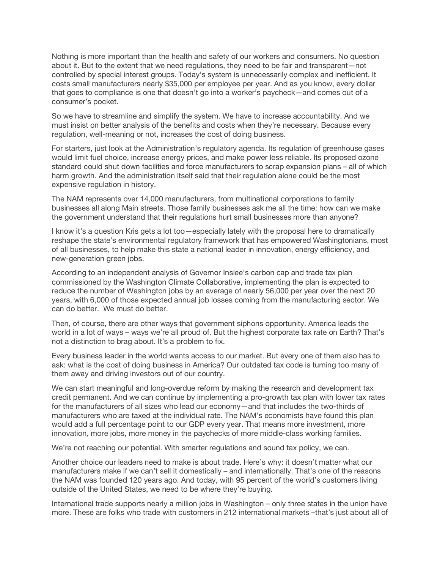Nothing is more important than the health and safety of our workers and consumers. No question about it. But to the extent that we need regulations, they need to be fair and transparent—not controlled by special interest groups. Today's system is unnecessarily complex and inefficient. It costs small manufacturers nearly \$35,000 per employee per year. And as you know, every dollar that goes to compliance is one that doesn't go into a worker's paycheck—and comes out of a consumer's pocket.

So we have to streamline and simplify the system. We have to increase accountability. And we must insist on better analysis of the benefits and costs when they're necessary. Because every regulation, well-meaning or not, increases the cost of doing business.

For starters, just look at the Administration's regulatory agenda. Its regulation of greenhouse gases would limit fuel choice, increase energy prices, and make power less reliable. Its proposed ozone standard could shut down facilities and force manufacturers to scrap expansion plans – all of which harm growth. And the administration itself said that their regulation alone could be the most expensive regulation in history.

The NAM represents over 14,000 manufacturers, from multinational corporations to family businesses all along Main streets. Those family businesses ask me all the time: how can we make the government understand that their regulations hurt small businesses more than anyone?

I know it's a question Kris gets a lot too—especially lately with the proposal here to dramatically reshape the state's environmental regulatory framework that has empowered Washingtonians, most of all businesses, to help make this state a national leader in innovation, energy efficiency, and new-generation green jobs.

According to an independent analysis of Governor Inslee's carbon cap and trade tax plan commissioned by the Washington Climate Collaborative, implementing the plan is expected to reduce the number of Washington jobs by an average of nearly 56,000 per year over the next 20 years, with 6,000 of those expected annual job losses coming from the manufacturing sector. We can do better. We must do better.

Then, of course, there are other ways that government siphons opportunity. America leads the world in a lot of ways – ways we're all proud of. But the highest corporate tax rate on Earth? That's not a distinction to brag about. It's a problem to fix.

Every business leader in the world wants access to our market. But every one of them also has to ask: what is the cost of doing business in America? Our outdated tax code is turning too many of them away and driving investors out of our country.

We can start meaningful and long-overdue reform by making the research and development tax credit permanent. And we can continue by implementing a pro-growth tax plan with lower tax rates for the manufacturers of all sizes who lead our economy—and that includes the two-thirds of manufacturers who are taxed at the individual rate. The NAM's economists have found this plan would add a full percentage point to our GDP every year. That means more investment, more innovation, more jobs, more money in the paychecks of more middle-class working families.

We're not reaching our potential. With smarter regulations and sound tax policy, we can.

Another choice our leaders need to make is about trade. Here's why: it doesn't matter what our manufacturers make if we can't sell it domestically – and internationally. That's one of the reasons the NAM was founded 120 years ago. And today, with 95 percent of the world's customers living outside of the United States, we need to be where they're buying.

International trade supports nearly a million jobs in Washington – only three states in the union have more. These are folks who trade with customers in 212 international markets –that's just about all of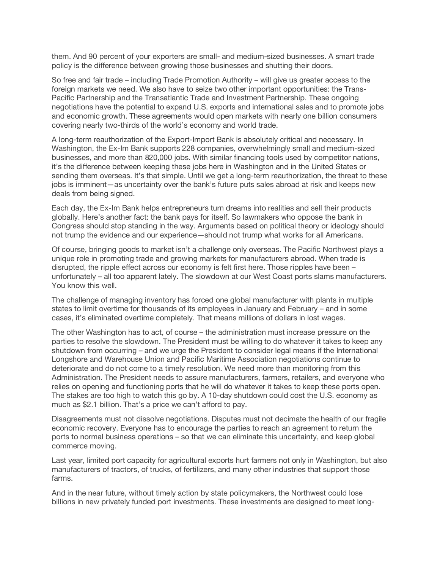them. And 90 percent of your exporters are small- and medium-sized businesses. A smart trade policy is the difference between growing those businesses and shutting their doors.

So free and fair trade – including Trade Promotion Authority – will give us greater access to the foreign markets we need. We also have to seize two other important opportunities: the Trans-Pacific Partnership and the Transatlantic Trade and Investment Partnership. These ongoing negotiations have the potential to expand U.S. exports and international sales and to promote jobs and economic growth. These agreements would open markets with nearly one billion consumers covering nearly two-thirds of the world's economy and world trade.

A long-term reauthorization of the Export-Import Bank is absolutely critical and necessary. In Washington, the Ex-Im Bank supports 228 companies, overwhelmingly small and medium-sized businesses, and more than 820,000 jobs. With similar financing tools used by competitor nations, it's the difference between keeping these jobs here in Washington and in the United States or sending them overseas. It's that simple. Until we get a long-term reauthorization, the threat to these jobs is imminent—as uncertainty over the bank's future puts sales abroad at risk and keeps new deals from being signed.

Each day, the Ex-Im Bank helps entrepreneurs turn dreams into realities and sell their products globally. Here's another fact: the bank pays for itself. So lawmakers who oppose the bank in Congress should stop standing in the way. Arguments based on political theory or ideology should not trump the evidence and our experience—should not trump what works for all Americans.

Of course, bringing goods to market isn't a challenge only overseas. The Pacific Northwest plays a unique role in promoting trade and growing markets for manufacturers abroad. When trade is disrupted, the ripple effect across our economy is felt first here. Those ripples have been – unfortunately – all too apparent lately. The slowdown at our West Coast ports slams manufacturers. You know this well.

The challenge of managing inventory has forced one global manufacturer with plants in multiple states to limit overtime for thousands of its employees in January and February – and in some cases, it's eliminated overtime completely. That means millions of dollars in lost wages.

The other Washington has to act, of course – the administration must increase pressure on the parties to resolve the slowdown. The President must be willing to do whatever it takes to keep any shutdown from occurring – and we urge the President to consider legal means if the International Longshore and Warehouse Union and Pacific Maritime Association negotiations continue to deteriorate and do not come to a timely resolution. We need more than monitoring from this Administration. The President needs to assure manufacturers, farmers, retailers, and everyone who relies on opening and functioning ports that he will do whatever it takes to keep these ports open. The stakes are too high to watch this go by. A 10-day shutdown could cost the U.S. economy as much as \$2.1 billion. That's a price we can't afford to pay.

Disagreements must not dissolve negotiations. Disputes must not decimate the health of our fragile economic recovery. Everyone has to encourage the parties to reach an agreement to return the ports to normal business operations – so that we can eliminate this uncertainty, and keep global commerce moving.

Last year, limited port capacity for agricultural exports hurt farmers not only in Washington, but also manufacturers of tractors, of trucks, of fertilizers, and many other industries that support those farms.

And in the near future, without timely action by state policymakers, the Northwest could lose billions in new privately funded port investments. These investments are designed to meet long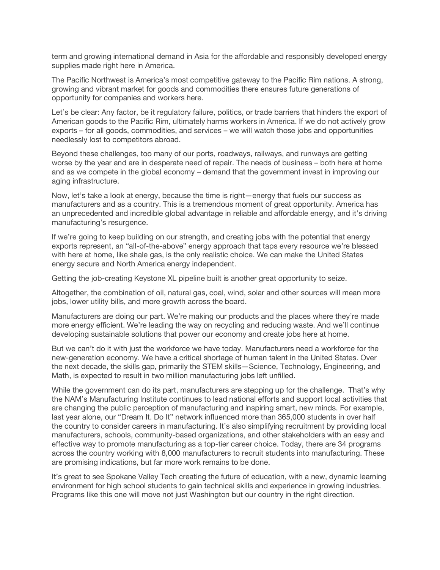term and growing international demand in Asia for the affordable and responsibly developed energy supplies made right here in America.

The Pacific Northwest is America's most competitive gateway to the Pacific Rim nations. A strong, growing and vibrant market for goods and commodities there ensures future generations of opportunity for companies and workers here.

Let's be clear: Any factor, be it regulatory failure, politics, or trade barriers that hinders the export of American goods to the Pacific Rim, ultimately harms workers in America. If we do not actively grow exports – for all goods, commodities, and services – we will watch those jobs and opportunities needlessly lost to competitors abroad.

Beyond these challenges, too many of our ports, roadways, railways, and runways are getting worse by the year and are in desperate need of repair. The needs of business – both here at home and as we compete in the global economy – demand that the government invest in improving our aging infrastructure.

Now, let's take a look at energy, because the time is right—energy that fuels our success as manufacturers and as a country. This is a tremendous moment of great opportunity. America has an unprecedented and incredible global advantage in reliable and affordable energy, and it's driving manufacturing's resurgence.

If we're going to keep building on our strength, and creating jobs with the potential that energy exports represent, an "all-of-the-above" energy approach that taps every resource we're blessed with here at home, like shale gas, is the only realistic choice. We can make the United States energy secure and North America energy independent.

Getting the job-creating Keystone XL pipeline built is another great opportunity to seize.

Altogether, the combination of oil, natural gas, coal, wind, solar and other sources will mean more jobs, lower utility bills, and more growth across the board.

Manufacturers are doing our part. We're making our products and the places where they're made more energy efficient. We're leading the way on recycling and reducing waste. And we'll continue developing sustainable solutions that power our economy and create jobs here at home.

But we can't do it with just the workforce we have today. Manufacturers need a workforce for the new-generation economy. We have a critical shortage of human talent in the United States. Over the next decade, the skills gap, primarily the STEM skills—Science, Technology, Engineering, and Math, is expected to result in two million manufacturing jobs left unfilled.

While the government can do its part, manufacturers are stepping up for the challenge. That's why the NAM's Manufacturing Institute continues to lead national efforts and support local activities that are changing the public perception of manufacturing and inspiring smart, new minds. For example, last year alone, our "Dream It. Do It" network influenced more than 365,000 students in over half the country to consider careers in manufacturing. It's also simplifying recruitment by providing local manufacturers, schools, community-based organizations, and other stakeholders with an easy and effective way to promote manufacturing as a top-tier career choice. Today, there are 34 programs across the country working with 8,000 manufacturers to recruit students into manufacturing. These are promising indications, but far more work remains to be done.

It's great to see Spokane Valley Tech creating the future of education, with a new, dynamic learning environment for high school students to gain technical skills and experience in growing industries. Programs like this one will move not just Washington but our country in the right direction.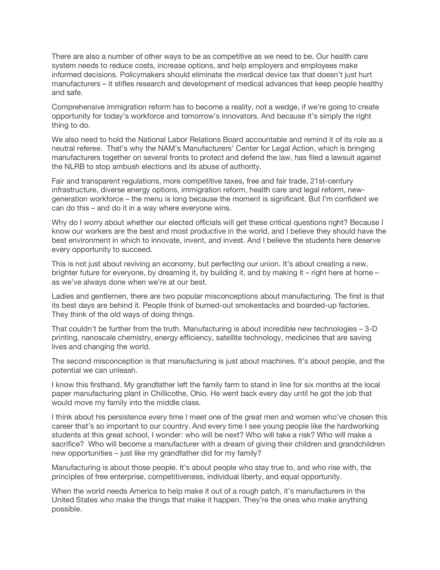There are also a number of other ways to be as competitive as we need to be. Our health care system needs to reduce costs, increase options, and help employers and employees make informed decisions. Policymakers should eliminate the medical device tax that doesn't just hurt manufacturers – it stifles research and development of medical advances that keep people healthy and safe.

Comprehensive immigration reform has to become a reality, not a wedge, if we're going to create opportunity for today's workforce and tomorrow's innovators. And because it's simply the right thing to do.

We also need to hold the National Labor Relations Board accountable and remind it of its role as a neutral referee. That's why the NAM's Manufacturers' Center for Legal Action, which is bringing manufacturers together on several fronts to protect and defend the law, has filed a lawsuit against the NLRB to stop ambush elections and its abuse of authority.

Fair and transparent regulations, more competitive taxes, free and fair trade, 21st-century infrastructure, diverse energy options, immigration reform, health care and legal reform, newgeneration workforce – the menu is long because the moment is significant. But I'm confident we can do this – and do it in a way where everyone wins.

Why do I worry about whether our elected officials will get these critical questions right? Because I know our workers are the best and most productive in the world, and I believe they should have the best environment in which to innovate, invent, and invest. And I believe the students here deserve every opportunity to succeed.

This is not just about reviving an economy, but perfecting our union. It's about creating a new, brighter future for everyone, by dreaming it, by building it, and by making it – right here at home – as we've always done when we're at our best.

Ladies and gentlemen, there are two popular misconceptions about manufacturing. The first is that its best days are behind it. People think of burned-out smokestacks and boarded-up factories. They think of the old ways of doing things.

That couldn't be further from the truth. Manufacturing is about incredible new technologies – 3-D printing, nanoscale chemistry, energy efficiency, satellite technology, medicines that are saving lives and changing the world.

The second misconception is that manufacturing is just about machines. It's about people, and the potential we can unleash.

I know this firsthand. My grandfather left the family farm to stand in line for six months at the local paper manufacturing plant in Chillicothe, Ohio. He went back every day until he got the job that would move my family into the middle class.

I think about his persistence every time I meet one of the great men and women who've chosen this career that's so important to our country. And every time I see young people like the hardworking students at this great school, I wonder: who will be next? Who will take a risk? Who will make a sacrifice? Who will become a manufacturer with a dream of giving their children and grandchildren new opportunities – just like my grandfather did for my family?

Manufacturing is about those people. It's about people who stay true to, and who rise with, the principles of free enterprise, competitiveness, individual liberty, and equal opportunity.

When the world needs America to help make it out of a rough patch, it's manufacturers in the United States who make the things that make it happen. They're the ones who make anything possible.